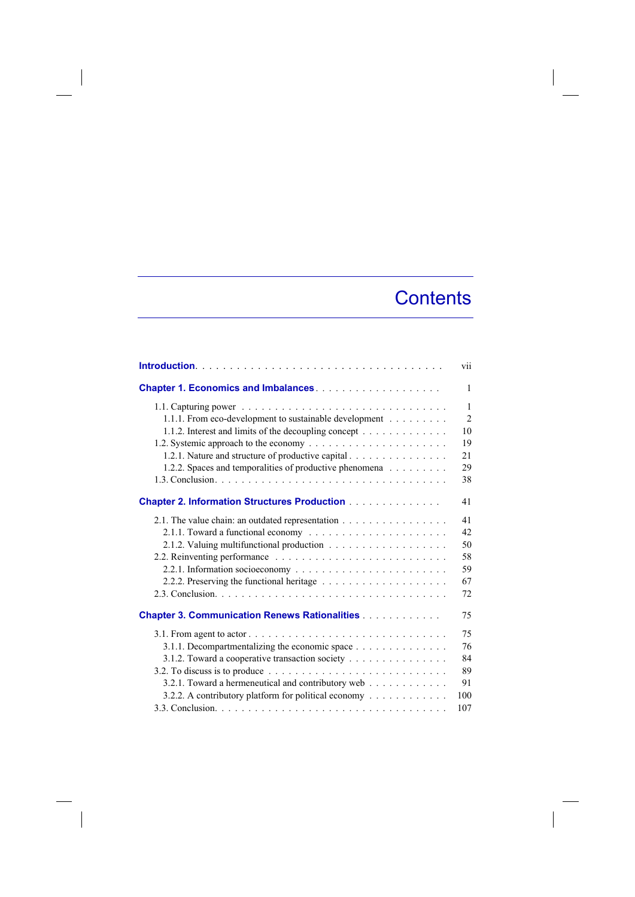## **Contents**

|                                                                                                                    | vii            |
|--------------------------------------------------------------------------------------------------------------------|----------------|
|                                                                                                                    | 1              |
| 1.1. Capturing power $\ldots \ldots \ldots \ldots \ldots \ldots \ldots \ldots \ldots \ldots \ldots \ldots$         | $\mathbf{1}$   |
| 1.1.1. From eco-development to sustainable development                                                             | $\overline{2}$ |
| 1.1.2. Interest and limits of the decoupling concept                                                               | 10             |
|                                                                                                                    | 19             |
| 1.2.1. Nature and structure of productive capital                                                                  | 21             |
| 1.2.2. Spaces and temporalities of productive phenomena                                                            | 29             |
|                                                                                                                    | 38             |
| <b>Chapter 2. Information Structures Production</b>                                                                | 41             |
| 2.1. The value chain: an outdated representation                                                                   | 41             |
|                                                                                                                    | 42             |
|                                                                                                                    | 50             |
|                                                                                                                    | 58             |
|                                                                                                                    | 59             |
|                                                                                                                    | 67             |
|                                                                                                                    | 72             |
| <b>Chapter 3. Communication Renews Rationalities</b>                                                               | 75             |
| 3.1. From agent to actor $\ldots$ $\ldots$ $\ldots$ $\ldots$ $\ldots$ $\ldots$ $\ldots$ $\ldots$ $\ldots$ $\ldots$ | 75             |
| 3.1.1. Decompartmentalizing the economic space                                                                     | 76             |
| 3.1.2. Toward a cooperative transaction society                                                                    | 84             |
| 3.2. To discuss is to produce $\ldots \ldots \ldots \ldots \ldots \ldots \ldots \ldots \ldots \ldots$              | 89             |
| 3.2.1. Toward a hermeneutical and contributory web                                                                 | 91             |
| 3.2.2. A contributory platform for political economy                                                               | 100            |
|                                                                                                                    | 107            |

 $\overline{\phantom{a}}$